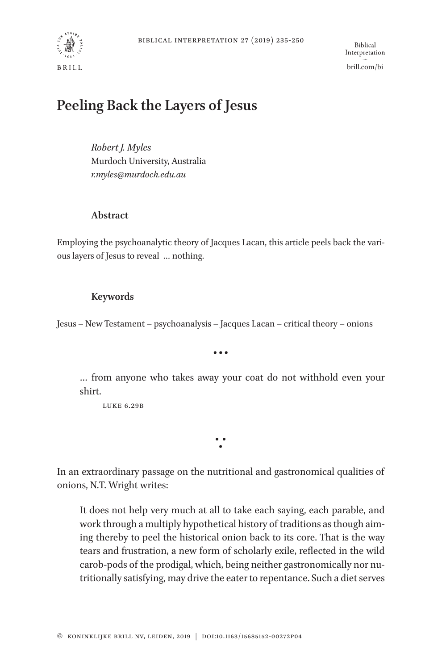

# **Peeling Back the Layers of Jesus**

*Robert J. Myles* Murdoch University, Australia *r.myles@murdoch.edu.au*

## **Abstract**

Employing the psychoanalytic theory of Jacques Lacan, this article peels back the various layers of Jesus to reveal … nothing.

## **Keywords**

Jesus – New Testament – psychoanalysis – Jacques Lacan – critical theory – onions

…

… from anyone who takes away your coat do not withhold even your shirt.

Luke 6.29b

 $^{\bullet}$ .

In an extraordinary passage on the nutritional and gastronomical qualities of onions, N.T. Wright writes:

It does not help very much at all to take each saying, each parable, and work through a multiply hypothetical history of traditions as though aiming thereby to peel the historical onion back to its core. That is the way tears and frustration, a new form of scholarly exile, reflected in the wild carob-pods of the prodigal, which, being neither gastronomically nor nutritionally satisfying, may drive the eater to repentance. Such a diet serves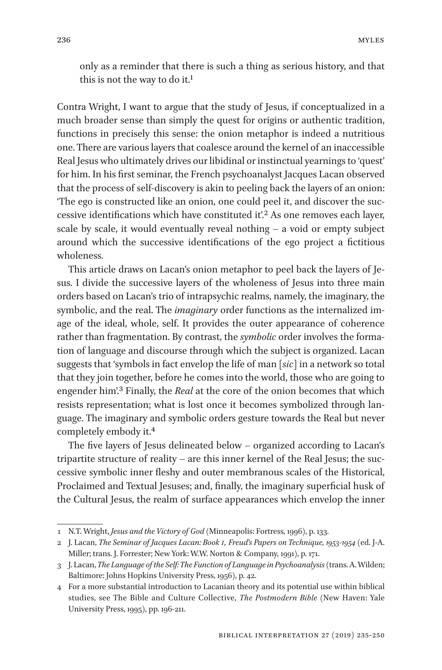only as a reminder that there is such a thing as serious history, and that this is not the way to do it.<sup>1</sup>

Contra Wright, I want to argue that the study of Jesus, if conceptualized in a much broader sense than simply the quest for origins or authentic tradition, functions in precisely this sense: the onion metaphor is indeed a nutritious one. There are various layers that coalesce around the kernel of an inaccessible Real Jesus who ultimately drives our libidinal or instinctual yearnings to 'quest' for him. In his first seminar, the French psychoanalyst Jacques Lacan observed that the process of self-discovery is akin to peeling back the layers of an onion: 'The ego is constructed like an onion, one could peel it, and discover the successive identifications which have constituted it'.2 As one removes each layer, scale by scale, it would eventually reveal nothing – a void or empty subject around which the successive identifications of the ego project a fictitious wholeness.

This article draws on Lacan's onion metaphor to peel back the layers of Jesus. I divide the successive layers of the wholeness of Jesus into three main orders based on Lacan's trio of intrapsychic realms, namely, the imaginary, the symbolic, and the real. The *imaginary* order functions as the internalized image of the ideal, whole, self. It provides the outer appearance of coherence rather than fragmentation. By contrast, the *symbolic* order involves the formation of language and discourse through which the subject is organized. Lacan suggests that 'symbols in fact envelop the life of man [*sic*] in a network so total that they join together, before he comes into the world, those who are going to engender him'.3 Finally, the *Real* at the core of the onion becomes that which resists representation; what is lost once it becomes symbolized through language. The imaginary and symbolic orders gesture towards the Real but never completely embody it.4

The five layers of Jesus delineated below – organized according to Lacan's tripartite structure of reality – are this inner kernel of the Real Jesus; the successive symbolic inner fleshy and outer membranous scales of the Historical, Proclaimed and Textual Jesuses; and, finally, the imaginary superficial husk of the Cultural Jesus, the realm of surface appearances which envelop the inner

<sup>1</sup> N.T. Wright, *Jesus and the Victory of God* (Minneapolis: Fortress, 1996), p. 133.

<sup>2</sup> J. Lacan, *The Seminar of Jacques Lacan: Book I, Freud's Papers on Technique, 1953-1954* (ed. J-A. Miller; trans. J. Forrester; New York: W.W. Norton & Company, 1991), p. 171.

<sup>3</sup> J. Lacan, *The Language of the Self: The Function of Language in Psychoanalysis* (trans. A. Wilden; Baltimore: Johns Hopkins University Press, 1956), p. 42.

<sup>4</sup> For a more substantial introduction to Lacanian theory and its potential use within biblical studies, see The Bible and Culture Collective, *The Postmodern Bible* (New Haven: Yale University Press, 1995), pp. 196-211.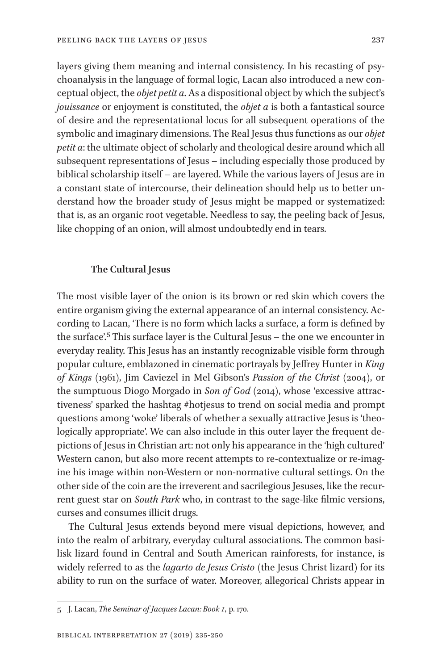layers giving them meaning and internal consistency. In his recasting of psychoanalysis in the language of formal logic, Lacan also introduced a new conceptual object, the *objet petit a*. As a dispositional object by which the subject's *jouissance* or enjoyment is constituted, the *objet a* is both a fantastical source of desire and the representational locus for all subsequent operations of the symbolic and imaginary dimensions. The Real Jesus thus functions as our *objet petit a*: the ultimate object of scholarly and theological desire around which all subsequent representations of Jesus – including especially those produced by biblical scholarship itself – are layered. While the various layers of Jesus are in a constant state of intercourse, their delineation should help us to better understand how the broader study of Jesus might be mapped or systematized: that is, as an organic root vegetable. Needless to say, the peeling back of Jesus, like chopping of an onion, will almost undoubtedly end in tears.

#### **The Cultural Jesus**

The most visible layer of the onion is its brown or red skin which covers the entire organism giving the external appearance of an internal consistency. According to Lacan, 'There is no form which lacks a surface, a form is defined by the surface'.5 This surface layer is the Cultural Jesus – the one we encounter in everyday reality. This Jesus has an instantly recognizable visible form through popular culture, emblazoned in cinematic portrayals by Jeffrey Hunter in *King of Kings* (1961), Jim Caviezel in Mel Gibson's *Passion of the Christ* (2004), or the sumptuous Diogo Morgado in *Son of God* (2014), whose 'excessive attractiveness' sparked the hashtag #hotjesus to trend on social media and prompt questions among 'woke' liberals of whether a sexually attractive Jesus is 'theologically appropriate'. We can also include in this outer layer the frequent depictions of Jesus in Christian art: not only his appearance in the 'high cultured' Western canon, but also more recent attempts to re-contextualize or re-imagine his image within non-Western or non-normative cultural settings. On the other side of the coin are the irreverent and sacrilegious Jesuses, like the recurrent guest star on *South Park* who, in contrast to the sage-like filmic versions, curses and consumes illicit drugs.

The Cultural Jesus extends beyond mere visual depictions, however, and into the realm of arbitrary, everyday cultural associations. The common basilisk lizard found in Central and South American rainforests, for instance, is widely referred to as the *lagarto de Jesus Cristo* (the Jesus Christ lizard) for its ability to run on the surface of water. Moreover, allegorical Christs appear in

<sup>5</sup> J. Lacan, *The Seminar of Jacques Lacan: Book I*, p. 170.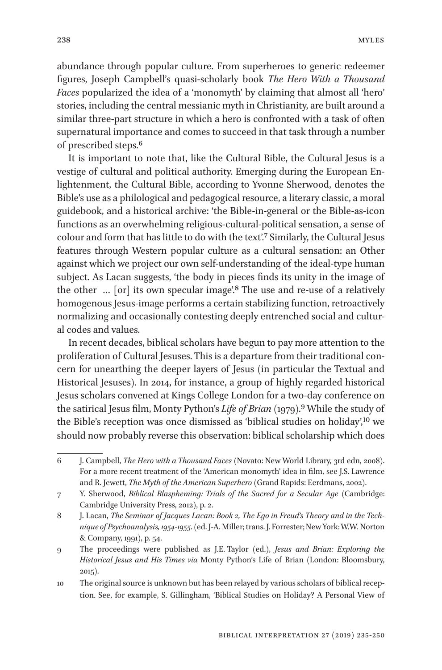abundance through popular culture. From superheroes to generic redeemer figures, Joseph Campbell's quasi-scholarly book *The Hero With a Thousand Faces* popularized the idea of a 'monomyth' by claiming that almost all 'hero' stories, including the central messianic myth in Christianity, are built around a similar three-part structure in which a hero is confronted with a task of often supernatural importance and comes to succeed in that task through a number of prescribed steps.6

It is important to note that, like the Cultural Bible, the Cultural Jesus is a vestige of cultural and political authority. Emerging during the European Enlightenment, the Cultural Bible, according to Yvonne Sherwood, denotes the Bible's use as a philological and pedagogical resource, a literary classic, a moral guidebook, and a historical archive: 'the Bible-in-general or the Bible-as-icon functions as an overwhelming religious-cultural-political sensation, a sense of colour and form that has little to do with the text'.7 Similarly, the Cultural Jesus features through Western popular culture as a cultural sensation: an Other against which we project our own self-understanding of the ideal-type human subject. As Lacan suggests, 'the body in pieces finds its unity in the image of the other ... [or] its own specular image'.<sup>8</sup> The use and re-use of a relatively homogenous Jesus-image performs a certain stabilizing function, retroactively normalizing and occasionally contesting deeply entrenched social and cultural codes and values.

In recent decades, biblical scholars have begun to pay more attention to the proliferation of Cultural Jesuses. This is a departure from their traditional concern for unearthing the deeper layers of Jesus (in particular the Textual and Historical Jesuses). In 2014, for instance, a group of highly regarded historical Jesus scholars convened at Kings College London for a two-day conference on the satirical Jesus film, Monty Python's *Life of Brian* (1979).9 While the study of the Bible's reception was once dismissed as 'biblical studies on holiday',10 we should now probably reverse this observation: biblical scholarship which does

<sup>6</sup> J. Campbell, *The Hero with a Thousand Faces* (Novato: New World Library, 3rd edn, 2008). For a more recent treatment of the 'American monomyth' idea in film, see J.S. Lawrence and R. Jewett, *The Myth of the American Superhero* (Grand Rapids: Eerdmans, 2002).

<sup>7</sup> Y. Sherwood, *Biblical Blaspheming: Trials of the Sacred for a Secular Age* (Cambridge: Cambridge University Press, 2012), p. 2.

<sup>8</sup> J. Lacan, *The Seminar of Jacques Lacan: Book 2, The Ego in Freud's Theory and in the Technique of Psychoanalysis, 1954-1955*. (ed. J-A. Miller; trans. J. Forrester; New York: W.W. Norton & Company, 1991), p. 54.

<sup>9</sup> The proceedings were published as J.E. Taylor (ed.), *Jesus and Brian: Exploring the Historical Jesus and His Times via* Monty Python's Life of Brian (London: Bloomsbury, 2015).

<sup>10</sup> The original source is unknown but has been relayed by various scholars of biblical reception. See, for example, S. Gillingham, 'Biblical Studies on Holiday? A Personal View of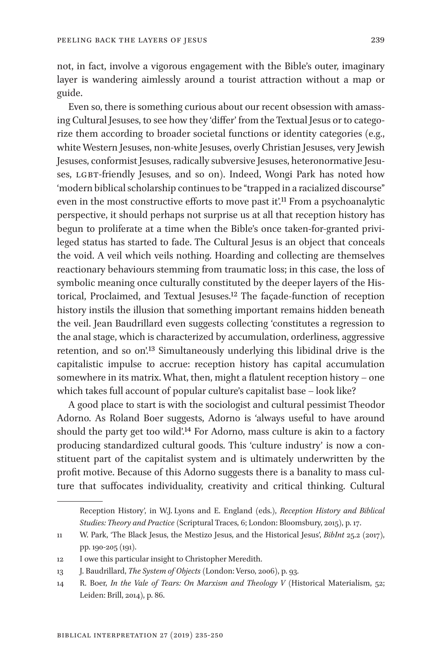not, in fact, involve a vigorous engagement with the Bible's outer, imaginary layer is wandering aimlessly around a tourist attraction without a map or guide.

Even so, there is something curious about our recent obsession with amassing Cultural Jesuses, to see how they 'differ' from the Textual Jesus or to categorize them according to broader societal functions or identity categories (e.g., white Western Jesuses, non-white Jesuses, overly Christian Jesuses, very Jewish Jesuses, conformist Jesuses, radically subversive Jesuses, heteronormative Jesuses, LGBT-friendly Jesuses, and so on). Indeed, Wongi Park has noted how 'modern biblical scholarship continues to be "trapped in a racialized discourse" even in the most constructive efforts to move past it'.11 From a psychoanalytic perspective, it should perhaps not surprise us at all that reception history has begun to proliferate at a time when the Bible's once taken-for-granted privileged status has started to fade. The Cultural Jesus is an object that conceals the void. A veil which veils nothing. Hoarding and collecting are themselves reactionary behaviours stemming from traumatic loss; in this case, the loss of symbolic meaning once culturally constituted by the deeper layers of the Historical, Proclaimed, and Textual Jesuses.12 The façade-function of reception history instils the illusion that something important remains hidden beneath the veil. Jean Baudrillard even suggests collecting 'constitutes a regression to the anal stage, which is characterized by accumulation, orderliness, aggressive retention, and so on'.<sup>13</sup> Simultaneously underlying this libidinal drive is the capitalistic impulse to accrue: reception history has capital accumulation somewhere in its matrix. What, then, might a flatulent reception history – one which takes full account of popular culture's capitalist base – look like?

A good place to start is with the sociologist and cultural pessimist Theodor Adorno. As Roland Boer suggests, Adorno is 'always useful to have around should the party get too wild'.14 For Adorno, mass culture is akin to a factory producing standardized cultural goods. This 'culture industry' is now a constituent part of the capitalist system and is ultimately underwritten by the profit motive. Because of this Adorno suggests there is a banality to mass culture that suffocates individuality, creativity and critical thinking. Cultural

Reception History', in W.J. Lyons and E. England (eds.), *Reception History and Biblical Studies: Theory and Practice* (Scriptural Traces, 6; London: Bloomsbury, 2015), p. 17.

<sup>11</sup> W. Park, 'The Black Jesus, the Mestizo Jesus, and the Historical Jesus', *BibInt* 25.2 (2017), pp. 190-205 (191).

<sup>12</sup> I owe this particular insight to Christopher Meredith.

<sup>13</sup> J. Baudrillard, *The System of Objects* (London: Verso, 2006), p. 93.

<sup>14</sup> R. Boer, *In the Vale of Tears: On Marxism and Theology V* (Historical Materialism, 52; Leiden: Brill, 2014), p. 86.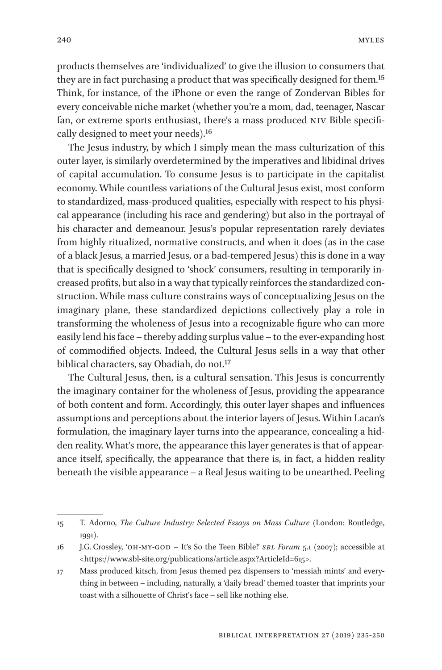products themselves are 'individualized' to give the illusion to consumers that they are in fact purchasing a product that was specifically designed for them.15 Think, for instance, of the iPhone or even the range of Zondervan Bibles for every conceivable niche market (whether you're a mom, dad, teenager, Nascar fan, or extreme sports enthusiast, there's a mass produced NIV Bible specifically designed to meet your needs).16

The Jesus industry, by which I simply mean the mass culturization of this outer layer, is similarly overdetermined by the imperatives and libidinal drives of capital accumulation. To consume Jesus is to participate in the capitalist economy. While countless variations of the Cultural Jesus exist, most conform to standardized, mass-produced qualities, especially with respect to his physical appearance (including his race and gendering) but also in the portrayal of his character and demeanour. Jesus's popular representation rarely deviates from highly ritualized, normative constructs, and when it does (as in the case of a black Jesus, a married Jesus, or a bad-tempered Jesus) this is done in a way that is specifically designed to 'shock' consumers, resulting in temporarily increased profits, but also in a way that typically reinforces the standardized construction. While mass culture constrains ways of conceptualizing Jesus on the imaginary plane, these standardized depictions collectively play a role in transforming the wholeness of Jesus into a recognizable figure who can more easily lend his face – thereby adding surplus value – to the ever-expanding host of commodified objects. Indeed, the Cultural Jesus sells in a way that other biblical characters, say Obadiah, do not.17

The Cultural Jesus, then, is a cultural sensation. This Jesus is concurrently the imaginary container for the wholeness of Jesus, providing the appearance of both content and form. Accordingly, this outer layer shapes and influences assumptions and perceptions about the interior layers of Jesus. Within Lacan's formulation, the imaginary layer turns into the appearance, concealing a hidden reality. What's more, the appearance this layer generates is that of appearance itself, specifically, the appearance that there is, in fact, a hidden reality beneath the visible appearance – a Real Jesus waiting to be unearthed. Peeling

<sup>15</sup> T. Adorno, *The Culture Industry: Selected Essays on Mass Culture* (London: Routledge, 1991).

<sup>16</sup> J.G. Crossley, 'OH-MY-GOD – It's So the Teen Bible!' *SBL Forum* 5.1 (2007); accessible at <https://www.sbl-site.org/publications/article.aspx?ArticleId=615>.

<sup>17</sup> Mass produced kitsch, from Jesus themed pez dispensers to 'messiah mints' and everything in between – including, naturally, a 'daily bread' themed toaster that imprints your toast with a silhouette of Christ's face – sell like nothing else.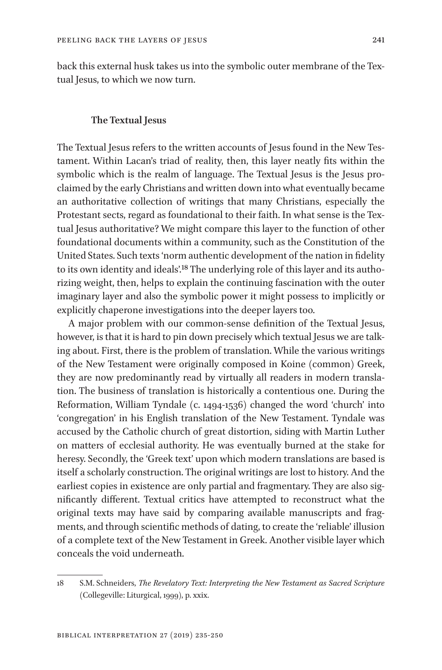back this external husk takes us into the symbolic outer membrane of the Textual Jesus, to which we now turn.

#### **The Textual Jesus**

The Textual Jesus refers to the written accounts of Jesus found in the New Testament. Within Lacan's triad of reality, then, this layer neatly fits within the symbolic which is the realm of language. The Textual Jesus is the Jesus proclaimed by the early Christians and written down into what eventually became an authoritative collection of writings that many Christians, especially the Protestant sects, regard as foundational to their faith. In what sense is the Textual Jesus authoritative? We might compare this layer to the function of other foundational documents within a community, such as the Constitution of the United States. Such texts 'norm authentic development of the nation in fidelity to its own identity and ideals'.18 The underlying role of this layer and its authorizing weight, then, helps to explain the continuing fascination with the outer imaginary layer and also the symbolic power it might possess to implicitly or explicitly chaperone investigations into the deeper layers too.

A major problem with our common-sense definition of the Textual Jesus, however, is that it is hard to pin down precisely which textual Jesus we are talking about. First, there is the problem of translation. While the various writings of the New Testament were originally composed in Koine (common) Greek, they are now predominantly read by virtually all readers in modern translation. The business of translation is historically a contentious one. During the Reformation, William Tyndale (c. 1494-1536) changed the word 'church' into 'congregation' in his English translation of the New Testament. Tyndale was accused by the Catholic church of great distortion, siding with Martin Luther on matters of ecclesial authority. He was eventually burned at the stake for heresy. Secondly, the 'Greek text' upon which modern translations are based is itself a scholarly construction. The original writings are lost to history. And the earliest copies in existence are only partial and fragmentary. They are also significantly different. Textual critics have attempted to reconstruct what the original texts may have said by comparing available manuscripts and fragments, and through scientific methods of dating, to create the 'reliable' illusion of a complete text of the New Testament in Greek. Another visible layer which conceals the void underneath.

<sup>18</sup> S.M. Schneiders, *The Revelatory Text: Interpreting the New Testament as Sacred Scripture* (Collegeville: Liturgical, 1999), p. xxix.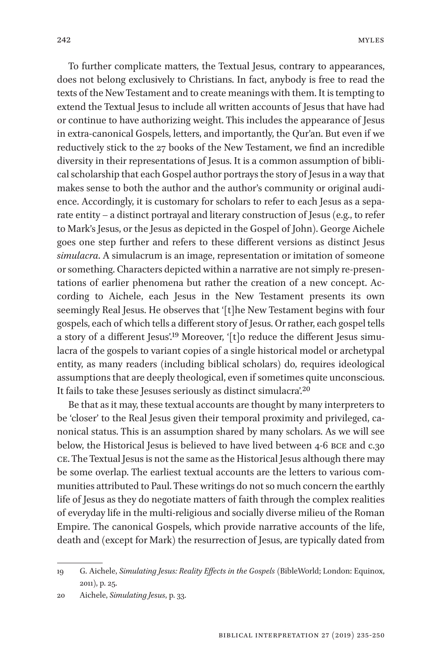To further complicate matters, the Textual Jesus, contrary to appearances, does not belong exclusively to Christians. In fact, anybody is free to read the texts of the New Testament and to create meanings with them. It is tempting to extend the Textual Jesus to include all written accounts of Jesus that have had or continue to have authorizing weight. This includes the appearance of Jesus in extra-canonical Gospels, letters, and importantly, the Qur'an. But even if we reductively stick to the 27 books of the New Testament, we find an incredible diversity in their representations of Jesus. It is a common assumption of biblical scholarship that each Gospel author portrays the story of Jesus in a way that makes sense to both the author and the author's community or original audience. Accordingly, it is customary for scholars to refer to each Jesus as a separate entity – a distinct portrayal and literary construction of Jesus (e.g., to refer to Mark's Jesus, or the Jesus as depicted in the Gospel of John). George Aichele goes one step further and refers to these different versions as distinct Jesus *simulacra*. A simulacrum is an image, representation or imitation of someone or something. Characters depicted within a narrative are not simply re-presentations of earlier phenomena but rather the creation of a new concept. According to Aichele, each Jesus in the New Testament presents its own seemingly Real Jesus. He observes that '[t]he New Testament begins with four gospels, each of which tells a different story of Jesus. Or rather, each gospel tells a story of a different Jesus'.<sup>19</sup> Moreover, '[t]o reduce the different Jesus simulacra of the gospels to variant copies of a single historical model or archetypal entity, as many readers (including biblical scholars) do, requires ideological assumptions that are deeply theological, even if sometimes quite unconscious. It fails to take these Jesuses seriously as distinct simulacra'.20

Be that as it may, these textual accounts are thought by many interpreters to be 'closer' to the Real Jesus given their temporal proximity and privileged, canonical status. This is an assumption shared by many scholars. As we will see below, the Historical Jesus is believed to have lived between 4-6 BCE and c.30 ce. The Textual Jesus is not the same as the Historical Jesus although there may be some overlap. The earliest textual accounts are the letters to various communities attributed to Paul. These writings do not so much concern the earthly life of Jesus as they do negotiate matters of faith through the complex realities of everyday life in the multi-religious and socially diverse milieu of the Roman Empire. The canonical Gospels, which provide narrative accounts of the life, death and (except for Mark) the resurrection of Jesus, are typically dated from

<sup>19</sup> G. Aichele, *Simulating Jesus: Reality Effects in the Gospels* (BibleWorld; London: Equinox, 2011), p. 25.

<sup>20</sup> Aichele, *Simulating Jesus*, p. 33.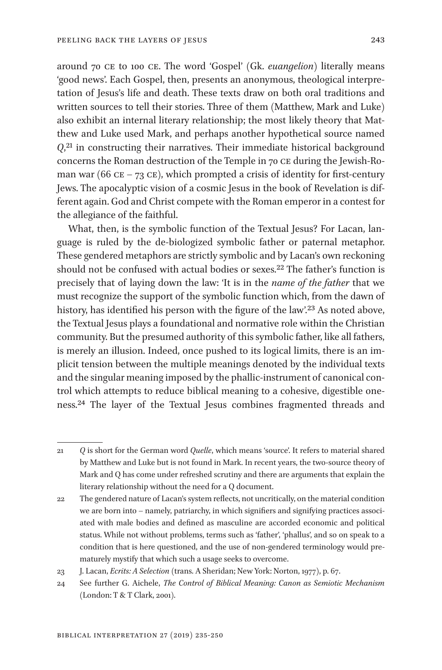around 70 ce to 100 ce. The word 'Gospel' (Gk. *euangelion*) literally means 'good news'. Each Gospel, then, presents an anonymous, theological interpretation of Jesus's life and death. These texts draw on both oral traditions and written sources to tell their stories. Three of them (Matthew, Mark and Luke) also exhibit an internal literary relationship; the most likely theory that Matthew and Luke used Mark, and perhaps another hypothetical source named *Q*,21 in constructing their narratives. Their immediate historical background concerns the Roman destruction of the Temple in 70 ce during the Jewish-Roman war (66  $CE - 73 CE$ ), which prompted a crisis of identity for first-century Jews. The apocalyptic vision of a cosmic Jesus in the book of Revelation is different again. God and Christ compete with the Roman emperor in a contest for the allegiance of the faithful.

What, then, is the symbolic function of the Textual Jesus? For Lacan, language is ruled by the de-biologized symbolic father or paternal metaphor. These gendered metaphors are strictly symbolic and by Lacan's own reckoning should not be confused with actual bodies or sexes.<sup>22</sup> The father's function is precisely that of laying down the law: 'It is in the *name of the father* that we must recognize the support of the symbolic function which, from the dawn of history, has identified his person with the figure of the law'.<sup>23</sup> As noted above, the Textual Jesus plays a foundational and normative role within the Christian community. But the presumed authority of this symbolic father, like all fathers, is merely an illusion. Indeed, once pushed to its logical limits, there is an implicit tension between the multiple meanings denoted by the individual texts and the singular meaning imposed by the phallic-instrument of canonical control which attempts to reduce biblical meaning to a cohesive, digestible oneness.24 The layer of the Textual Jesus combines fragmented threads and

<sup>21</sup> *Q* is short for the German word *Quelle*, which means 'source'. It refers to material shared by Matthew and Luke but is not found in Mark. In recent years, the two-source theory of Mark and Q has come under refreshed scrutiny and there are arguments that explain the literary relationship without the need for a Q document.

<sup>22</sup> The gendered nature of Lacan's system reflects, not uncritically, on the material condition we are born into – namely, patriarchy, in which signifiers and signifying practices associated with male bodies and defined as masculine are accorded economic and political status. While not without problems, terms such as 'father', 'phallus', and so on speak to a condition that is here questioned, and the use of non-gendered terminology would prematurely mystify that which such a usage seeks to overcome.

<sup>23</sup> J. Lacan, *Ecrits: A Selection* (trans. A Sheridan; New York: Norton, 1977), p. 67.

<sup>24</sup> See further G. Aichele, *The Control of Biblical Meaning: Canon as Semiotic Mechanism* (London: T & T Clark, 2001).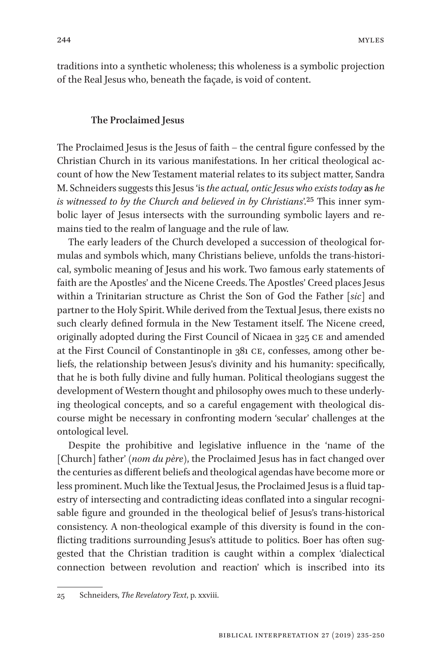traditions into a synthetic wholeness; this wholeness is a symbolic projection of the Real Jesus who, beneath the façade, is void of content.

#### **The Proclaimed Jesus**

The Proclaimed Jesus is the Jesus of faith – the central figure confessed by the Christian Church in its various manifestations. In her critical theological account of how the New Testament material relates to its subject matter, Sandra M. Schneiders suggests this Jesus 'is *the actual, ontic Jesus who exists today* **as** *he is witnessed to by the Church and believed in by Christians*'.25 This inner symbolic layer of Jesus intersects with the surrounding symbolic layers and remains tied to the realm of language and the rule of law.

The early leaders of the Church developed a succession of theological formulas and symbols which, many Christians believe, unfolds the trans-historical, symbolic meaning of Jesus and his work. Two famous early statements of faith are the Apostles' and the Nicene Creeds. The Apostles' Creed places Jesus within a Trinitarian structure as Christ the Son of God the Father [*sic*] and partner to the Holy Spirit. While derived from the Textual Jesus, there exists no such clearly defined formula in the New Testament itself. The Nicene creed, originally adopted during the First Council of Nicaea in 325 CE and amended at the First Council of Constantinople in 381 CE, confesses, among other beliefs, the relationship between Jesus's divinity and his humanity: specifically, that he is both fully divine and fully human. Political theologians suggest the development of Western thought and philosophy owes much to these underlying theological concepts, and so a careful engagement with theological discourse might be necessary in confronting modern 'secular' challenges at the ontological level.

Despite the prohibitive and legislative influence in the 'name of the [Church] father' (*nom du père*), the Proclaimed Jesus has in fact changed over the centuries as different beliefs and theological agendas have become more or less prominent. Much like the Textual Jesus, the Proclaimed Jesus is a fluid tapestry of intersecting and contradicting ideas conflated into a singular recognisable figure and grounded in the theological belief of Jesus's trans-historical consistency. A non-theological example of this diversity is found in the conflicting traditions surrounding Jesus's attitude to politics. Boer has often suggested that the Christian tradition is caught within a complex 'dialectical connection between revolution and reaction' which is inscribed into its

<sup>25</sup> Schneiders, *The Revelatory Text*, p. xxviii.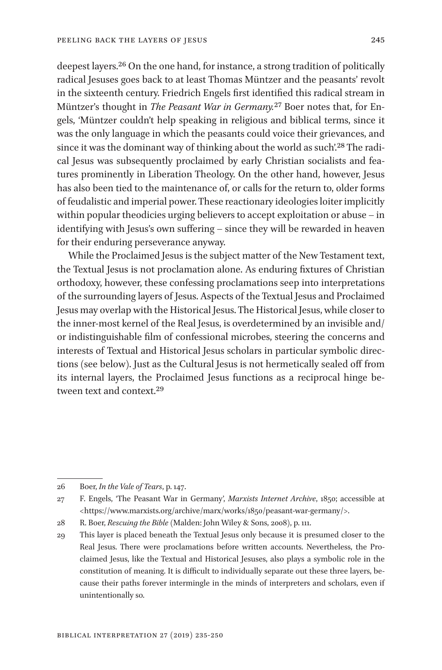deepest layers.26 On the one hand, for instance, a strong tradition of politically radical Jesuses goes back to at least Thomas Müntzer and the peasants' revolt in the sixteenth century. Friedrich Engels first identified this radical stream in Müntzer's thought in *The Peasant War in Germany.*27 Boer notes that, for Engels, 'Müntzer couldn't help speaking in religious and biblical terms, since it was the only language in which the peasants could voice their grievances, and since it was the dominant way of thinking about the world as such'.28 The radical Jesus was subsequently proclaimed by early Christian socialists and features prominently in Liberation Theology. On the other hand, however, Jesus has also been tied to the maintenance of, or calls for the return to, older forms of feudalistic and imperial power. These reactionary ideologies loiter implicitly within popular theodicies urging believers to accept exploitation or abuse – in identifying with Jesus's own suffering – since they will be rewarded in heaven for their enduring perseverance anyway.

While the Proclaimed Jesus is the subject matter of the New Testament text, the Textual Jesus is not proclamation alone. As enduring fixtures of Christian orthodoxy, however, these confessing proclamations seep into interpretations of the surrounding layers of Jesus. Aspects of the Textual Jesus and Proclaimed Jesus may overlap with the Historical Jesus. The Historical Jesus, while closer to the inner-most kernel of the Real Jesus, is overdetermined by an invisible and/ or indistinguishable film of confessional microbes, steering the concerns and interests of Textual and Historical Jesus scholars in particular symbolic directions (see below). Just as the Cultural Jesus is not hermetically sealed off from its internal layers, the Proclaimed Jesus functions as a reciprocal hinge between text and context.29

<sup>26</sup> Boer, *In the Vale of Tears*, p. 147.

<sup>27</sup> F. Engels, 'The Peasant War in Germany', *Marxists Internet Archive*, 1850; accessible at <https://www.marxists.org/archive/marx/works/1850/peasant-war-germany/>.

<sup>28</sup> R. Boer, *Rescuing the Bible* (Malden: John Wiley & Sons, 2008), p. 111.

<sup>29</sup> This layer is placed beneath the Textual Jesus only because it is presumed closer to the Real Jesus. There were proclamations before written accounts. Nevertheless, the Proclaimed Jesus, like the Textual and Historical Jesuses, also plays a symbolic role in the constitution of meaning. It is difficult to individually separate out these three layers, because their paths forever intermingle in the minds of interpreters and scholars, even if unintentionally so.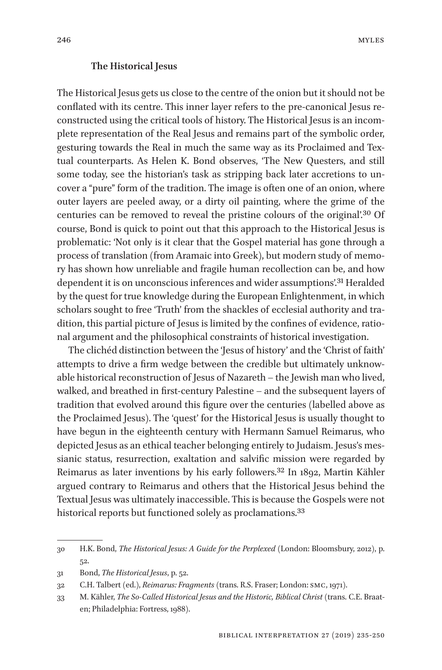#### **The Historical Jesus**

The Historical Jesus gets us close to the centre of the onion but it should not be conflated with its centre. This inner layer refers to the pre-canonical Jesus reconstructed using the critical tools of history. The Historical Jesus is an incomplete representation of the Real Jesus and remains part of the symbolic order, gesturing towards the Real in much the same way as its Proclaimed and Textual counterparts. As Helen K. Bond observes, 'The New Questers, and still some today, see the historian's task as stripping back later accretions to uncover a "pure" form of the tradition. The image is often one of an onion, where outer layers are peeled away, or a dirty oil painting, where the grime of the centuries can be removed to reveal the pristine colours of the original'.30 Of course, Bond is quick to point out that this approach to the Historical Jesus is problematic: 'Not only is it clear that the Gospel material has gone through a process of translation (from Aramaic into Greek), but modern study of memory has shown how unreliable and fragile human recollection can be, and how dependent it is on unconscious inferences and wider assumptions'.31 Heralded by the quest for true knowledge during the European Enlightenment, in which scholars sought to free 'Truth' from the shackles of ecclesial authority and tradition, this partial picture of Jesus is limited by the confines of evidence, rational argument and the philosophical constraints of historical investigation.

The clichéd distinction between the 'Jesus of history' and the 'Christ of faith' attempts to drive a firm wedge between the credible but ultimately unknowable historical reconstruction of Jesus of Nazareth – the Jewish man who lived, walked, and breathed in first-century Palestine – and the subsequent layers of tradition that evolved around this figure over the centuries (labelled above as the Proclaimed Jesus). The 'quest' for the Historical Jesus is usually thought to have begun in the eighteenth century with Hermann Samuel Reimarus, who depicted Jesus as an ethical teacher belonging entirely to Judaism. Jesus's messianic status, resurrection, exaltation and salvific mission were regarded by Reimarus as later inventions by his early followers.32 In 1892, Martin Kähler argued contrary to Reimarus and others that the Historical Jesus behind the Textual Jesus was ultimately inaccessible. This is because the Gospels were not historical reports but functioned solely as proclamations.<sup>33</sup>

<sup>30</sup> H.K. Bond, *The Historical Jesus: A Guide for the Perplexed* (London: Bloomsbury, 2012), p. 52.

<sup>31</sup> Bond, *The Historical Jesus*, p. 52.

<sup>32</sup> C.H. Talbert (ed.), *Reimarus: Fragments* (trans. R.S. Fraser; London: SMC, 1971).

<sup>33</sup> M. Kähler, *The So-Called Historical Jesus and the Historic, Biblical Christ* (trans. C.E. Braaten; Philadelphia: Fortress, 1988).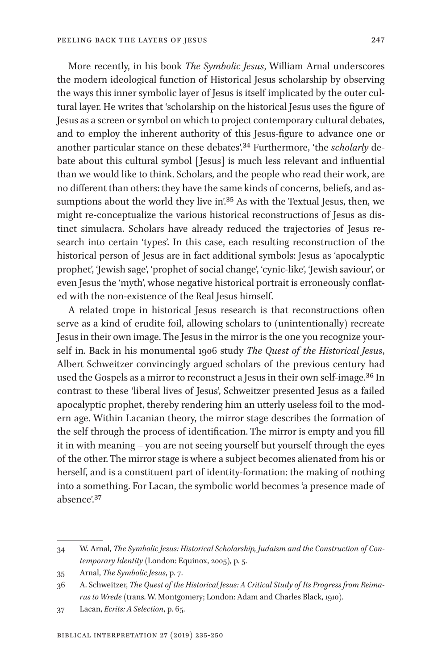More recently, in his book *The Symbolic Jesus*, William Arnal underscores the modern ideological function of Historical Jesus scholarship by observing the ways this inner symbolic layer of Jesus is itself implicated by the outer cultural layer. He writes that 'scholarship on the historical Jesus uses the figure of Jesus as a screen or symbol on which to project contemporary cultural debates, and to employ the inherent authority of this Jesus-figure to advance one or another particular stance on these debates'.34 Furthermore, 'the *scholarly* debate about this cultural symbol [Jesus] is much less relevant and influential than we would like to think. Scholars, and the people who read their work, are no different than others: they have the same kinds of concerns, beliefs, and assumptions about the world they live in'.35 As with the Textual Jesus, then, we might re-conceptualize the various historical reconstructions of Jesus as distinct simulacra. Scholars have already reduced the trajectories of Jesus research into certain 'types'. In this case, each resulting reconstruction of the historical person of Jesus are in fact additional symbols: Jesus as 'apocalyptic prophet', 'Jewish sage', 'prophet of social change', 'cynic-like', 'Jewish saviour', or even Jesus the 'myth', whose negative historical portrait is erroneously conflated with the non-existence of the Real Jesus himself.

A related trope in historical Jesus research is that reconstructions often serve as a kind of erudite foil, allowing scholars to (unintentionally) recreate Jesus in their own image. The Jesus in the mirror is the one you recognize yourself in. Back in his monumental 1906 study *The Quest of the Historical Jesus*, Albert Schweitzer convincingly argued scholars of the previous century had used the Gospels as a mirror to reconstruct a Jesus in their own self-image.36 In contrast to these 'liberal lives of Jesus', Schweitzer presented Jesus as a failed apocalyptic prophet, thereby rendering him an utterly useless foil to the modern age. Within Lacanian theory, the mirror stage describes the formation of the self through the process of identification. The mirror is empty and you fill it in with meaning – you are not seeing yourself but yourself through the eyes of the other. The mirror stage is where a subject becomes alienated from his or herself, and is a constituent part of identity-formation: the making of nothing into a something. For Lacan, the symbolic world becomes 'a presence made of absence'.37

<sup>34</sup> W. Arnal, *The Symbolic Jesus: Historical Scholarship, Judaism and the Construction of Contemporary Identity* (London: Equinox, 2005), p. 5.

<sup>35</sup> Arnal, *The Symbolic Jesus*, p. 7.

<sup>36</sup> A. Schweitzer, *The Quest of the Historical Jesus: A Critical Study of Its Progress from Reimarus to Wrede* (trans. W. Montgomery; London: Adam and Charles Black, 1910).

<sup>37</sup> Lacan, *Ecrits: A Selection*, p. 65.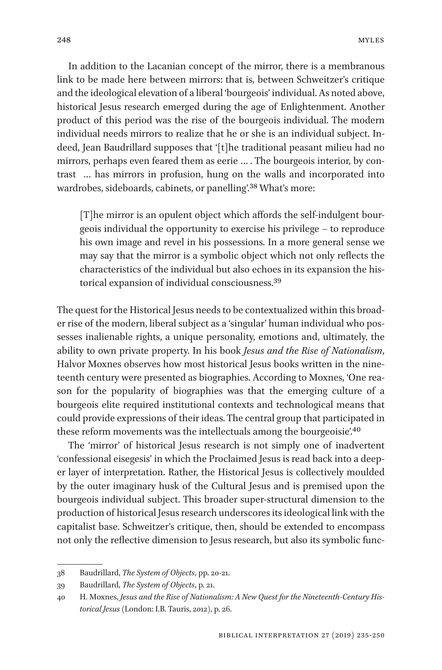In addition to the Lacanian concept of the mirror, there is a membranous link to be made here between mirrors: that is, between Schweitzer's critique and the ideological elevation of a liberal 'bourgeois' individual. As noted above, historical Jesus research emerged during the age of Enlightenment. Another product of this period was the rise of the bourgeois individual. The modern individual needs mirrors to realize that he or she is an individual subject. Indeed, Jean Baudrillard supposes that '[t]he traditional peasant milieu had no mirrors, perhaps even feared them as eerie … . The bourgeois interior, by contrast … has mirrors in profusion, hung on the walls and incorporated into wardrobes, sideboards, cabinets, or panelling'.<sup>38</sup> What's more:

[T]he mirror is an opulent object which affords the self-indulgent bourgeois individual the opportunity to exercise his privilege – to reproduce his own image and revel in his possessions. In a more general sense we may say that the mirror is a symbolic object which not only reflects the characteristics of the individual but also echoes in its expansion the historical expansion of individual consciousness.39

The quest for the Historical Jesus needs to be contextualized within this broader rise of the modern, liberal subject as a 'singular' human individual who possesses inalienable rights, a unique personality, emotions and, ultimately, the ability to own private property. In his book *Jesus and the Rise of Nationalism*, Halvor Moxnes observes how most historical Jesus books written in the nineteenth century were presented as biographies. According to Moxnes, 'One reason for the popularity of biographies was that the emerging culture of a bourgeois elite required institutional contexts and technological means that could provide expressions of their ideas. The central group that participated in these reform movements was the intellectuals among the bourgeoisie'.40

The 'mirror' of historical Jesus research is not simply one of inadvertent 'confessional eisegesis' in which the Proclaimed Jesus is read back into a deeper layer of interpretation. Rather, the Historical Jesus is collectively moulded by the outer imaginary husk of the Cultural Jesus and is premised upon the bourgeois individual subject. This broader super-structural dimension to the production of historical Jesus research underscores its ideological link with the capitalist base. Schweitzer's critique, then, should be extended to encompass not only the reflective dimension to Jesus research, but also its symbolic func-

<sup>38</sup> Baudrillard, *The System of Objects*, pp. 20-21.

<sup>39</sup> Baudrillard, *The System of Objects*, p. 21.

<sup>40</sup> H. Moxnes, *Jesus and the Rise of Nationalism: A New Quest for the Nineteenth-Century Historical Jesus* (London: I.B. Tauris, 2012), p. 26.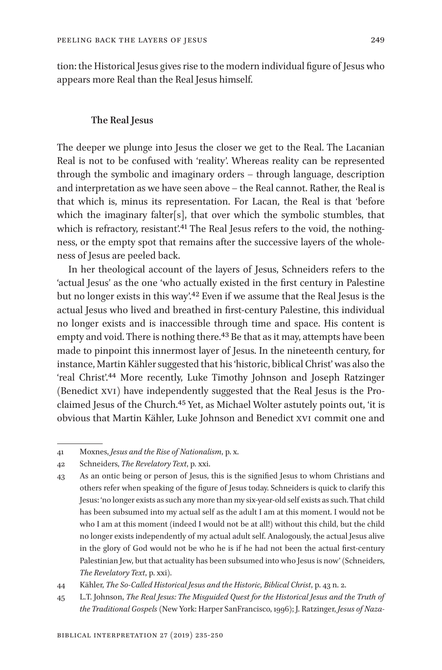tion: the Historical Jesus gives rise to the modern individual figure of Jesus who appears more Real than the Real Jesus himself.

### **The Real Jesus**

The deeper we plunge into Jesus the closer we get to the Real. The Lacanian Real is not to be confused with 'reality'. Whereas reality can be represented through the symbolic and imaginary orders – through language, description and interpretation as we have seen above – the Real cannot. Rather, the Real is that which is, minus its representation. For Lacan, the Real is that 'before which the imaginary falter[s], that over which the symbolic stumbles, that which is refractory, resistant'.<sup>41</sup> The Real Jesus refers to the void, the nothingness, or the empty spot that remains after the successive layers of the wholeness of Jesus are peeled back.

In her theological account of the layers of Jesus, Schneiders refers to the 'actual Jesus' as the one 'who actually existed in the first century in Palestine but no longer exists in this way'.42 Even if we assume that the Real Jesus is the actual Jesus who lived and breathed in first-century Palestine, this individual no longer exists and is inaccessible through time and space. His content is empty and void. There is nothing there.<sup>43</sup> Be that as it may, attempts have been made to pinpoint this innermost layer of Jesus. In the nineteenth century, for instance, Martin Kähler suggested that his 'historic, biblical Christ' was also the 'real Christ'.44 More recently, Luke Timothy Johnson and Joseph Ratzinger (Benedict XVI) have independently suggested that the Real Jesus is the Proclaimed Jesus of the Church.45 Yet, as Michael Wolter astutely points out, 'it is obvious that Martin Kähler, Luke Johnson and Benedict XVI commit one and

<sup>41</sup> Moxnes, *Jesus and the Rise of Nationalism*, p. x.

<sup>42</sup> Schneiders, *The Revelatory Text*, p. xxi.

<sup>43</sup> As an ontic being or person of Jesus, this is the signified Jesus to whom Christians and others refer when speaking of the figure of Jesus today. Schneiders is quick to clarify this Jesus: 'no longer exists as such any more than my six-year-old self exists as such. That child has been subsumed into my actual self as the adult I am at this moment. I would not be who I am at this moment (indeed I would not be at all!) without this child, but the child no longer exists independently of my actual adult self. Analogously, the actual Jesus alive in the glory of God would not be who he is if he had not been the actual first-century Palestinian Jew, but that actuality has been subsumed into who Jesus is now' (Schneiders, *The Revelatory Text*, p. xxi).

<sup>44</sup> Kähler, *The So-Called Historical Jesus and the Historic, Biblical Christ*, p. 43 n. 2.

<sup>45</sup> L.T. Johnson, *The Real Jesus: The Misguided Quest for the Historical Jesus and the Truth of the Traditional Gospels* (New York: Harper SanFrancisco, 1996); J. Ratzinger, *Jesus of Naza-*